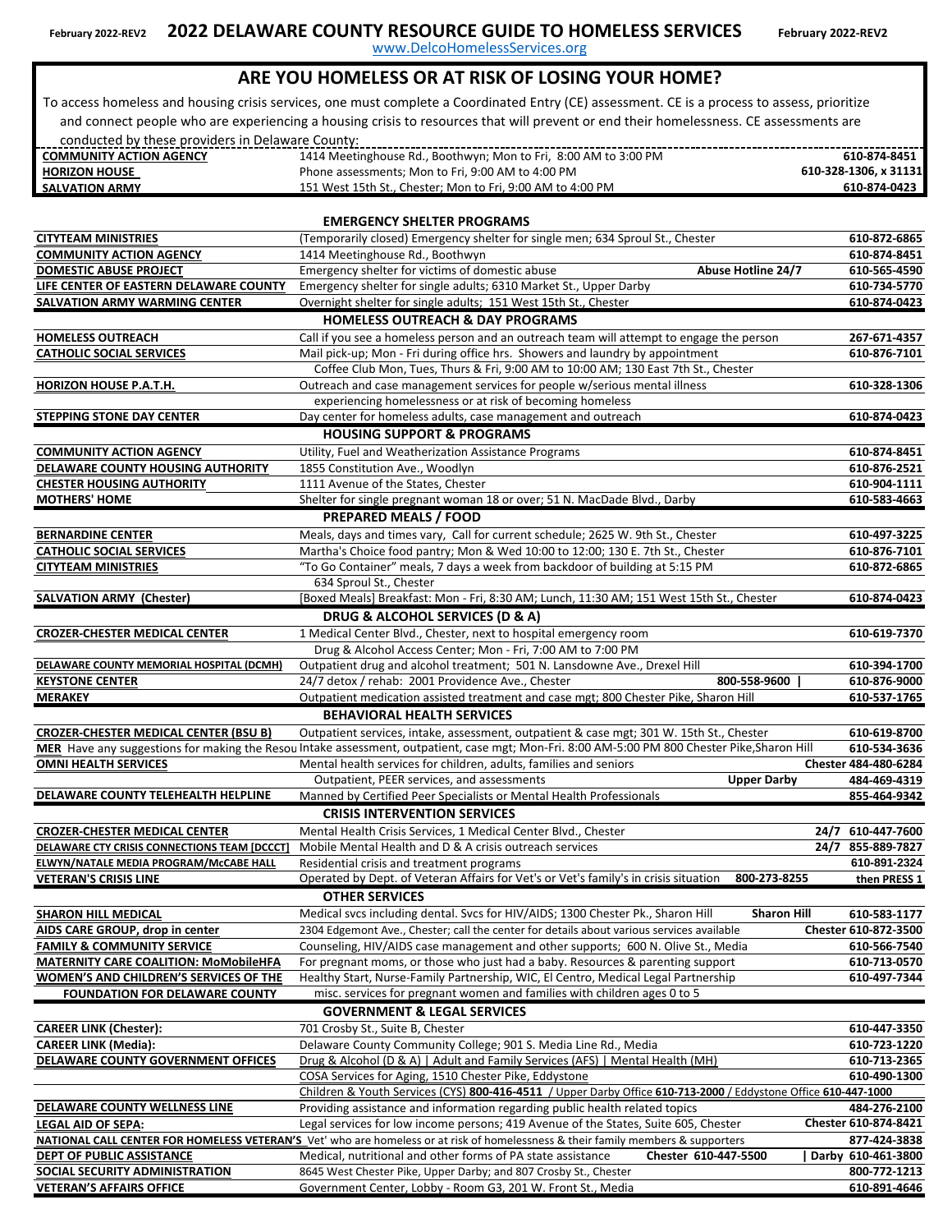www.DelcoHomelessServices.org

#### **ARE YOU HOMELESS OR AT RISK OF LOSING YOUR HOME?**

 To access homeless and housing crisis services, one must complete a Coordinated Entry (CE) assessment. CE is a process to assess, prioritize and connect people who are experiencing a housing crisis to resources that will prevent or end their homelessness. CE assessments are conducted by these providers in Delaware County:

| <b>COMMUNITY ACTION AGENCY</b> | 1414 Meetinghouse Rd., Boothwyn; Mon to Fri, 8:00 AM to 3:00 PM | 610-874-8451        |
|--------------------------------|-----------------------------------------------------------------|---------------------|
| <b>HORIZON HOUSE</b>           | Phone assessments; Mon to Fri, 9:00 AM to 4:00 PM               | 610-328-1306.x31131 |
| <b>SALVATION ARMY</b>          | 151 West 15th St., Chester: Mon to Fri, 9:00 AM to 4:00 PM      | 610-874-0423        |

#### **EMERGENCY SHELTER PROGRAMS [CITYTEAM MINISTRIES](https://cityteam.org/chester/)** (Temporarily closed) Emergency shelter for single men; 634 Sproul St., Chester **610-872-6865 [COMMUNITY ACTION AGENCY](https://caadc.org/)** 1414 Meetinghouse Rd., Boothwyn **610-874-8451 [DOMESTIC ABUSE PROJECT](https://dapdc.org/)** Emergency shelter for victims of domestic abuse **Abuse Hotline 24/7** 610-565-4590 **[LIFE CENTER OF EASTERN DELAWARE COUNTY](https://caadc.org/services/housing/)** Emergency shelter for single adults; 6310 Market St., Upper Darby **610-734-5770 [SALVATION ARMY WARMING CENTER](https://pa.salvationarmy.org/chester/Social-Services)** Overnight shelter for single adults; 151 West 15th St., Chester **610-874-0423 HOMELESS OUTREACH & DAY PROGRAMS HOMELESS OUTREACH** Call if you see a homeless person and an outreach team will attempt to engage the person **267-671-4357 [CATHOLIC SOCIAL SERVICES](https://www.google.com/maps/place/Catholic+Social+Services+of+Delaware+County/@39.8512657,-75.3620194,17z/data=!4m5!3m4!1s0x89c6e7e927bb99cd:0x31e555d56528df3b!8m2!3d39.8511975!4d-75.359791?hl=en)** Mail pick-up; Mon - Fri during office hrs. Showers and laundry by appointment **610-876-7101** Coffee Club Mon, Tues, Thurs & Fri, 9:00 AM to 10:00 AM; 130 East 7th St., Chester **[HORIZON HOUSE P.A.T.H.](https://www.hhinc.org/?s=delaware%2Bcounty)** Outreach and case management services for people w/serious mental illness **610-328-1306** experiencing homelessness or at risk of becoming homeless **[STEPPING STONE DAY CENTER](https://pa.salvationarmy.org/chester/Social-Services)** Day center for homeless adults, case management and outreach **610-874-0423 HOUSING SUPPORT & PROGRAMS [COMMUNITY ACTION AGENCY](https://caadc.org/services/energy/)** Utility, Fuel and Weatherization Assistance Programs **610-874-8451 [DELAWARE COUNTY HOUSING AUTHORITY](https://www.dcha1.org/)** 1855 Constitution Ave., Woodlyn **610-876-2521 [CHESTER HOUSING AUTHORITY](https://www.chesterha.org/index.cfm)** 1111 Avenue of the States, Chester **610-904-1111 [MOTHERS' HOME](https://mothershome.org/)** Shelter for single pregnant woman 18 or over; 51 N. MacDade Blvd., Darby 610-583-4663  **PREPARED MEALS / FOOD [BERNARDINE CENTER](http://bernardinecenter.org/bc/Programs %26 Services/Food Pantry/)** Meals, days and times vary, Call for current schedule; 2625 W. 9th St., Chester 610-497-3225<br> **CATHOLIC SOCIAL SERVICES** Martha's Choice food pantry; Mon & Wed 10:00 to 12:00; 130 E. 7th St., Chester 61 **[CATHOLIC SOCIAL SERVICES](https://www.google.com/maps/place/Catholic+Social+Services+of+Delaware+County/@39.8512657,-75.3620194,17z/data=!4m5!3m4!1s0x89c6e7e927bb99cd:0x31e555d56528df3b!8m2!3d39.8511975!4d-75.359791?hl=en)** Martha's Choice food pantry; Mon & Wed 10:00 to 12:00; 130 E. 7th St., Chester **610-876-7101 [CITYTEAM MINISTRIES](https://cityteam.org/chester/)** "To Go Container" meals, 7 days a week from backdoor of building at 5:15 PM **610-872-6865** 634 Sproul St., Chester **[SALVATION ARMY \(Chester\)](https://pa.salvationarmy.org/chester/Social-Services)** [Boxed Meals] Breakfast: Mon - Fri, 8:30 AM; Lunch, 11:30 AM; 151 West 15th St., Chester **610-874-0423 DRUG & ALCOHOL SERVICES (D & A) [CROZER-CHESTER MEDICAL CENTER](https://www.crozerhealth.org/locations/practices/d/drug-and-alcohol-access-center/)** 1 Medical Center Blvd., Chester, next to hospital emergency room **610-619-7370** Drug & Alcohol Access Center; Mon - Fri, 7:00 AM to 7:00 PM **[DELAWARE COUNTY MEMORIAL HOSPITAL \(DCMH\)](https://www.crozerhealth.org/services/behavioral-health/substance-abuse-services/)** Outpatient drug and alcohol treatment; 501 N. Lansdowne Ave., Drexel Hill **610-394-1700 [KEYSTONE CENTER](https://keystonecenter.net/) 610-876-9000** 24/7 detox / rehab: 2001 Providence Ave., Chester **800-558-9600 | [MERAKEY](https://www.merakey.org/services/addiction-recovery)** Outpatient medication assisted treatment and case mgt; 800 Chester Pike, Sharon Hill **610-537-1765 BEHAVIORAL HEALTH SERVICES [CROZER-CHESTER MEDICAL CENTER \(BSU B\)](https://www.crozerhealth.org/behavioral-health)** Outpatient services, intake, assessment, outpatient & case mgt; 301 W. 15th St., Chester **610-619-8700** MER [Have any suggestions](https://www.merakey.org/services/adult-behavioral-health) for making the Resou Intake assessment, outpatient, case mgt; Mon-Fri. 8:00 AM-5:00 PM 800 Chester Pike,Sharon Hill 610-534-3636 **[OMNI HEALTH SERVICES](https://www.omhsi1.com/services/services.html)** Mental health services for children, adults, families and seniors **Chester 484-480-6284 484-469-4319** Manned by Certified Peer Specialists or Mental Health Professionals **855-464-9342 CRISIS INTERVENTION SERVICES [CROZER-CHESTER MEDICAL CENTER](https://www.crozerhealth.org/locations/practices/c/crisis-center-at-crozer-chester-medical-center/)** Mental Health Crisis Services, 1 Medical Center Blvd., Chester **24/7 610-447-7600 DELAYARE CONNECTIONS TEAM CONSTRESS IN CONNECTIONS TEAM CONSTRESS CONNECTIONS TEAM EXTINGULARE CONNECTIONS TEAM ESS-889-7827 855-889-7827 855-889-7827 855-889-7827 855-889-7827 855-889-7827 610-891-2324 [ELWYN/NATALE MEDIA PROGRAM/McCABE HALL](https://www.elwyn.org/services/adult-behavioral-health)** Residential crisis and treatment programs **610-891-2324 [VETERAN'S CRISIS LINE](https://www.veteranscrisisline.net/) then PRESS 1 Operated by Dept. of Veteran Affairs for Vet's or Vet's family's in crisis situation <b>800-273-8255 then PRESS 1 OTHER SERVICES [SHARON HILL MEDICAL](https://aidscaregroup.org/) 610-583-1177** Medical svcs including dental. Svcs for HIV/AIDS; 1300 Chester Pk., Sharon Hill **Sharon Hill [AIDS CARE GROUP, drop in center](https://aidscaregroup.org/testing/)** 2304 Edgemont Ave., Chester; call the center for details about various services available **Chester 610-872-3500 [FAMILY & COMMUNITY SERVICE](https://www.fcsdc.org/)** Counseling, HIV/AIDS case management and other supports; 600 N. Olive St., Media **610-566-7540 [MATERNITY CARE COALITION: MoMobileHFA](https://maternitycarecoalition.org/momobile/)** For pregnant moms, or those who just had a baby. Resources & parenting support **610-713-0570 [WOMEN'S AND CHILDREN'S SERVICES OF THE](https://delcofoundation.org/community-programs/apply-for-assistance/women-infants-and-children-wic-program/)** Healthy Start, Nurse-Family Partnership, WIC, El Centro, Medical Legal Partnership **610-497-7344 FOUNDATION FOR DELAWARE COUNTY** misc. services for pregnant women and families with children ages 0 to 5  **GOVERNMENT & LEGAL SERVICES CAREER LINK (Chester):** 701 Crosby St., Suite B, Chester **610-47-8350**<br>**CAREER LINK (Media):** 610-723-1220 **Delaware County Community College;** 901 S. Media Line Rd., Media **610-713-1220** CAREER LINK (Media): Delaware County Community College; 901 S. Media Line Rd., Media **Line Rd., Media** 610-723-1220<br>**DELAWARE COUNTY GOVERNMENT OFFICES** Drug & Alcohol (D & A) | Adult and Family Services (AFS) | Mental Hea **[Drug & Alcohol \(D & A\) | Adult and Family Services \(AFS\) | Mental Health \(MH\)](https://www.delcohsa.org/about.html)** [COSA Services for Aging, 1510 Chester Pike, Eddystone](https://www.delcosa.org/) **610-490-1300** Providing assistance and information regarding public health related topics **484-276-2100 [LEGAL AID OF SEPA:](https://www.lasp.org/)** Legal services for low income persons; 419 Avenue of the States, Suite 605, Chester **NATIONAL CALL CENTER FOR HOMELESS VETERAN'S** [Vet' who are homeless or at risk of homelessness & their family members & supporters](https://www.va.gov/HOMELESS/NationalCallCenter.asp) **877-424-3838 [DEPT OF PUBLIC ASSISTANCE](https://www.compass.state.pa.us/Compass.Web/Public/CMPHome)** Medical, nutritional and other forms of PA state assistance **Chester 610-447-5500** | Darby 610-461-3800<br>**SOCIAL SECURITY ADMINISTRATION** 8645 West Chester Pike, Upper Darby; and 807 Crosby St., **[DELA](https://delcopa.gov/ich/resources/covid19/pdf/2ndTelehealthFlyer.pdf)WARE COUNTY TELEHEALTH HELPLINE** [Children & Youth Services \(CYS\)](https://www.delcohsa.org/childrenyouthservices.html) **[800-416-4511](https://www.delcohsa.org/childrenyouthservices.html)** [/ Upper Darby Office](https://www.delcohsa.org/childrenyouthservices.html) **[610-713-2000](https://www.delcohsa.org/childrenyouthservices.html)** [/ Eddystone Office](https://www.delcohsa.org/childrenyouthservices.html) **610-447-1000 [DELA](https://delcopa.gov/covid/wellnessline.html)WARE COUNTY WELLNESS LINE Chester 610-874-8421** Outpatient, PEER services, and assessments **Upper Darby**

**[VETERAN'S AFFAIRS OFFICE](https://www.delcopa.gov/vetaffairs/index.html)** Government Center, Lobby - Room G3, 201 W. Front St., Media **610-891-4646**

**[SOCIAL SECURITY ADMINISTRATION](https://www.ssa.gov/onlineservices/)** 8645 West Chester Pike, Upper Darby; and 807 Crosby St., Chester **800-772-1213**